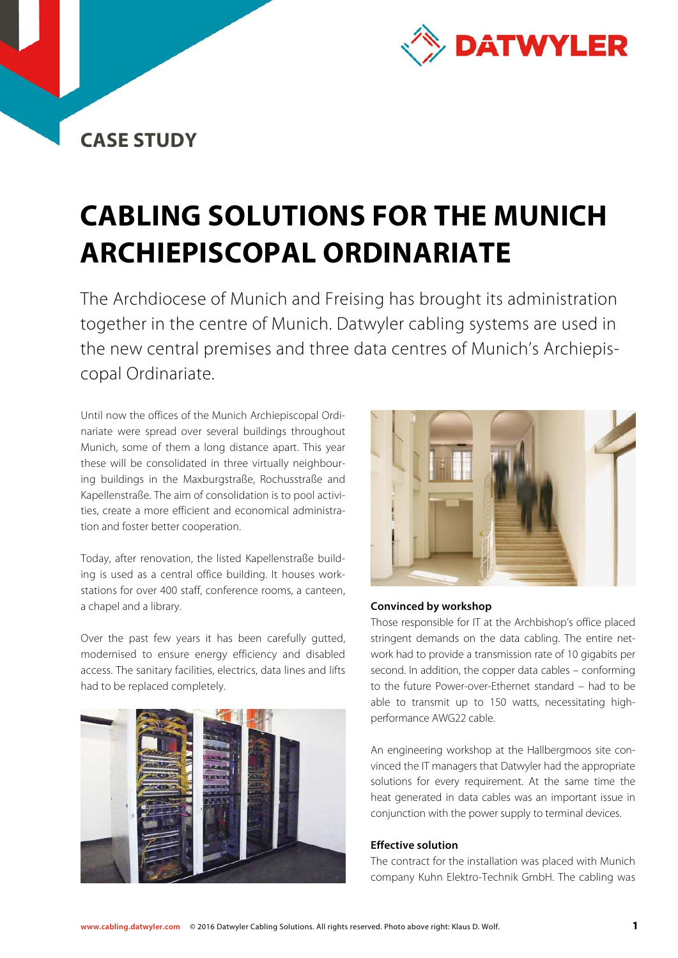

## **CASE STUDY**

# **CABLING SOLUTIONS FOR THE MUNICH ARCHIEPISCOPAL ORDINARIATE**

The Archdiocese of Munich and Freising has brought its administration together in the centre of Munich. Datwyler cabling systems are used in the new central premises and three data centres of Munich's Archiepiscopal Ordinariate.

Until now the offices of the Munich Archiepiscopal Ordinariate were spread over several buildings throughout Munich, some of them a long distance apart. This year these will be consolidated in three virtually neighbouring buildings in the Maxburgstraße, Rochusstraße and Kapellenstraße. The aim of consolidation is to pool activities, create a more efficient and economical administration and foster better cooperation.

Today, after renovation, the listed Kapellenstraße building is used as a central office building. It houses workstations for over 400 staff, conference rooms, a canteen, a chapel and a library.

Over the past few years it has been carefully gutted, modernised to ensure energy efficiency and disabled access. The sanitary facilities, electrics, data lines and lifts had to be replaced completely.





#### **Convinced by workshop**

Those responsible for IT at the Archbishop's office placed stringent demands on the data cabling. The entire network had to provide a transmission rate of 10 gigabits per second. In addition, the copper data cables – conforming to the future Power-over-Ethernet standard – had to be able to transmit up to 150 watts, necessitating highperformance AWG22 cable.

An engineering workshop at the Hallbergmoos site convinced the IT managers that Datwyler had the appropriate solutions for every requirement. At the same time the heat generated in data cables was an important issue in conjunction with the power supply to terminal devices.

#### **Effective solution**

The contract for the installation was placed with Munich company Kuhn Elektro-Technik GmbH. The cabling was